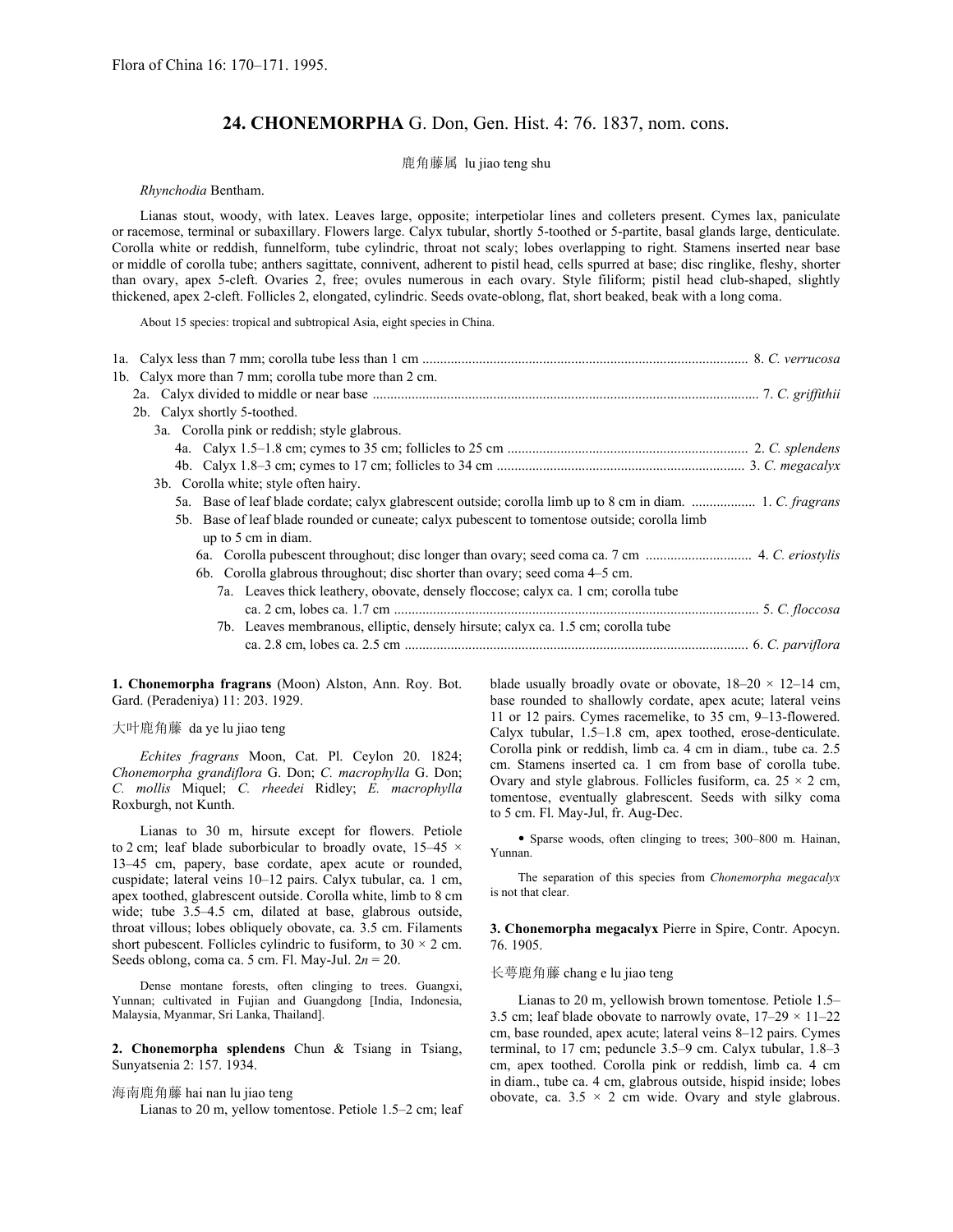# **24. CHONEMORPHA** G. Don, Gen. Hist. 4: 76. 1837, nom. cons.

# 鹿角藤属 lu jiao teng shu

# *Rhynchodia* Bentham.

Lianas stout, woody, with latex. Leaves large, opposite; interpetiolar lines and colleters present. Cymes lax, paniculate or racemose, terminal or subaxillary. Flowers large. Calyx tubular, shortly 5-toothed or 5-partite, basal glands large, denticulate. Corolla white or reddish, funnelform, tube cylindric, throat not scaly; lobes overlapping to right. Stamens inserted near base or middle of corolla tube; anthers sagittate, connivent, adherent to pistil head, cells spurred at base; disc ringlike, fleshy, shorter than ovary, apex 5-cleft. Ovaries 2, free; ovules numerous in each ovary. Style filiform; pistil head club-shaped, slightly thickened, apex 2-cleft. Follicles 2, elongated, cylindric. Seeds ovate-oblong, flat, short beaked, beak with a long coma.

About 15 species: tropical and subtropical Asia, eight species in China.

| 1b. Calyx more than 7 mm; corolla tube more than 2 cm.                                        |  |
|-----------------------------------------------------------------------------------------------|--|
|                                                                                               |  |
| 2b. Calyx shortly 5-toothed.                                                                  |  |
| 3a. Corolla pink or reddish; style glabrous.                                                  |  |
|                                                                                               |  |
|                                                                                               |  |
| 3b. Corolla white; style often hairy.                                                         |  |
|                                                                                               |  |
| 5b. Base of leaf blade rounded or cuneate; calyx pubescent to tomentose outside; corolla limb |  |
| up to 5 cm in diam.                                                                           |  |
|                                                                                               |  |
| 6b. Corolla glabrous throughout; disc shorter than ovary; seed coma 4–5 cm.                   |  |
| 7a. Leaves thick leathery, obovate, densely floccose; calyx ca. 1 cm; corolla tube            |  |
|                                                                                               |  |
| 7b. Leaves membranous, elliptic, densely hirsute; calyx ca. 1.5 cm; corolla tube              |  |
|                                                                                               |  |

**1. Chonemorpha fragrans** (Moon) Alston, Ann. Roy. Bot. Gard. (Peradeniya) 11: 203. 1929.

#### 大叶鹿角藤 da ye lu jiao teng

*Echites fragrans* Moon, Cat. Pl. Ceylon 20. 1824; *Chonemorpha grandiflora* G. Don; *C. macrophylla* G. Don; *C. mollis* Miquel; *C. rheedei* Ridley; *E. macrophylla* Roxburgh, not Kunth.

Lianas to 30 m, hirsute except for flowers. Petiole to 2 cm; leaf blade suborbicular to broadly ovate, 15*–*45 × 13*–*45 cm, papery, base cordate, apex acute or rounded, cuspidate; lateral veins 10*–*12 pairs. Calyx tubular, ca. 1 cm, apex toothed, glabrescent outside. Corolla white, limb to 8 cm wide; tube 3.5*–*4.5 cm, dilated at base, glabrous outside, throat villous; lobes obliquely obovate, ca. 3.5 cm. Filaments short pubescent. Follicles cylindric to fusiform, to  $30 \times 2$  cm. Seeds oblong, coma ca. 5 cm. Fl. May-Jul. 2*n* = 20.

Dense montane forests, often clinging to trees. Guangxi, Yunnan; cultivated in Fujian and Guangdong [India, Indonesia, Malaysia, Myanmar, Sri Lanka, Thailand].

**2. Chonemorpha splendens** Chun & Tsiang in Tsiang, Sunyatsenia 2: 157. 1934.

# 海南鹿角藤 hai nan lu jiao teng

Lianas to 20 m, yellow tomentose. Petiole 1.5*–*2 cm; leaf

blade usually broadly ovate or obovate, 18*–*20 × 12*–*14 cm, base rounded to shallowly cordate, apex acute; lateral veins 11 or 12 pairs. Cymes racemelike, to 35 cm, 9*–*13-flowered. Calyx tubular, 1.5*–*1.8 cm, apex toothed, erose-denticulate. Corolla pink or reddish, limb ca. 4 cm in diam., tube ca. 2.5 cm. Stamens inserted ca. 1 cm from base of corolla tube. Ovary and style glabrous. Follicles fusiform, ca.  $25 \times 2$  cm, tomentose, eventually glabrescent. Seeds with silky coma to 5 cm. Fl. May-Jul, fr. Aug-Dec.

• Sparse woods, often clinging to trees; 300*–*800 m. Hainan, Yunnan.

The separation of this species from *Chonemorpha megacalyx* is not that clear.

**3. Chonemorpha megacalyx** Pierre in Spire, Contr. Apocyn. 76. 1905.

# 长萼鹿角藤 chang e lu jiao teng

Lianas to 20 m, yellowish brown tomentose. Petiole 1.5*–* 3.5 cm; leaf blade obovate to narrowly ovate, 17*–*29 × 11*–*22 cm, base rounded, apex acute; lateral veins 8*–*12 pairs. Cymes terminal, to 17 cm; peduncle 3.5*–*9 cm. Calyx tubular, 1.8*–*3 cm, apex toothed. Corolla pink or reddish, limb ca. 4 cm in diam., tube ca. 4 cm, glabrous outside, hispid inside; lobes obovate, ca.  $3.5 \times 2$  cm wide. Ovary and style glabrous.